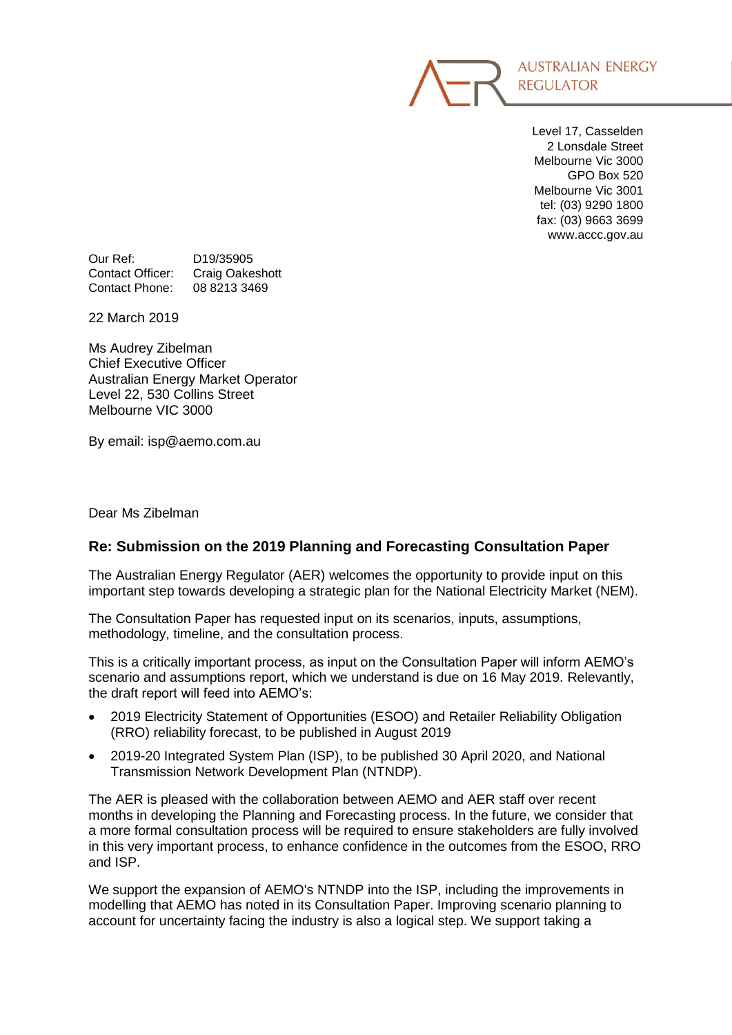

Level 17, Casselden 2 Lonsdale Street Melbourne Vic 3000 GPO Box 520 Melbourne Vic 3001 tel: (03) 9290 1800 fax: (03) 9663 3699 www.accc.gov.au

Our Ref: D19/35905 Contact Officer: Craig Oakeshott Contact Phone: 08 8213 3469

22 March 2019

Ms Audrey Zibelman Chief Executive Officer Australian Energy Market Operator Level 22, 530 Collins Street Melbourne VIC 3000

By email: isp@aemo.com.au

Dear Ms Zibelman

## **Re: Submission on the 2019 Planning and Forecasting Consultation Paper**

The Australian Energy Regulator (AER) welcomes the opportunity to provide input on this important step towards developing a strategic plan for the National Electricity Market (NEM).

The Consultation Paper has requested input on its scenarios, inputs, assumptions, methodology, timeline, and the consultation process.

This is a critically important process, as input on the Consultation Paper will inform AEMO's scenario and assumptions report, which we understand is due on 16 May 2019. Relevantly, the draft report will feed into AEMO's:

- 2019 Electricity Statement of Opportunities (ESOO) and Retailer Reliability Obligation (RRO) reliability forecast, to be published in August 2019
- 2019-20 Integrated System Plan (ISP), to be published 30 April 2020, and National Transmission Network Development Plan (NTNDP).

The AER is pleased with the collaboration between AEMO and AER staff over recent months in developing the Planning and Forecasting process. In the future, we consider that a more formal consultation process will be required to ensure stakeholders are fully involved in this very important process, to enhance confidence in the outcomes from the ESOO, RRO and ISP.

We support the expansion of AEMO's NTNDP into the ISP, including the improvements in modelling that AEMO has noted in its Consultation Paper. Improving scenario planning to account for uncertainty facing the industry is also a logical step. We support taking a